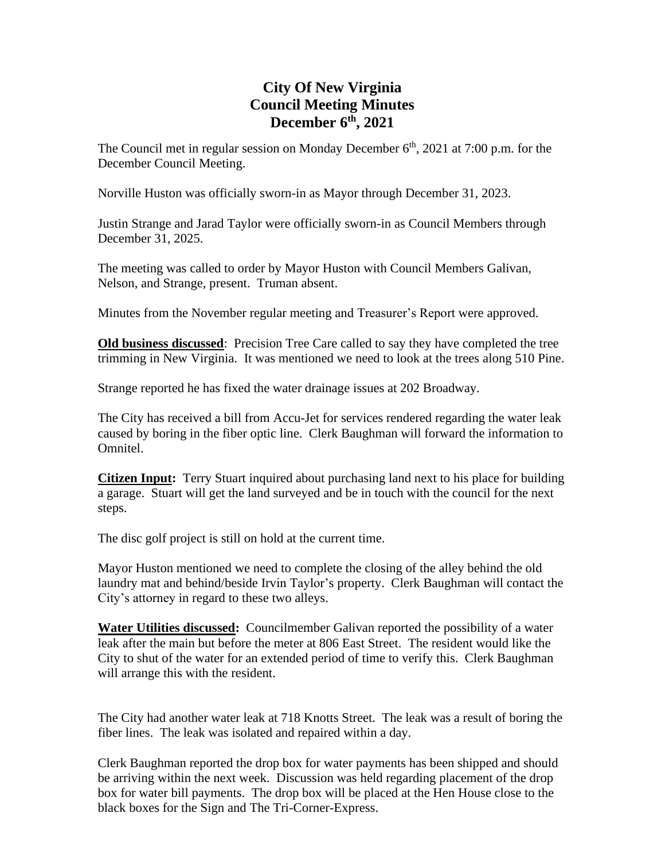## **City Of New Virginia Council Meeting Minutes December 6 th , 2021**

The Council met in regular session on Monday December  $6<sup>th</sup>$ , 2021 at 7:00 p.m. for the December Council Meeting.

Norville Huston was officially sworn-in as Mayor through December 31, 2023.

Justin Strange and Jarad Taylor were officially sworn-in as Council Members through December 31, 2025.

The meeting was called to order by Mayor Huston with Council Members Galivan, Nelson, and Strange, present. Truman absent.

Minutes from the November regular meeting and Treasurer's Report were approved.

**Old business discussed**: Precision Tree Care called to say they have completed the tree trimming in New Virginia. It was mentioned we need to look at the trees along 510 Pine.

Strange reported he has fixed the water drainage issues at 202 Broadway.

The City has received a bill from Accu-Jet for services rendered regarding the water leak caused by boring in the fiber optic line. Clerk Baughman will forward the information to Omnitel.

**Citizen Input:** Terry Stuart inquired about purchasing land next to his place for building a garage. Stuart will get the land surveyed and be in touch with the council for the next steps.

The disc golf project is still on hold at the current time.

Mayor Huston mentioned we need to complete the closing of the alley behind the old laundry mat and behind/beside Irvin Taylor's property. Clerk Baughman will contact the City's attorney in regard to these two alleys.

**Water Utilities discussed:** Councilmember Galivan reported the possibility of a water leak after the main but before the meter at 806 East Street. The resident would like the City to shut of the water for an extended period of time to verify this. Clerk Baughman will arrange this with the resident.

The City had another water leak at 718 Knotts Street. The leak was a result of boring the fiber lines. The leak was isolated and repaired within a day.

Clerk Baughman reported the drop box for water payments has been shipped and should be arriving within the next week. Discussion was held regarding placement of the drop box for water bill payments. The drop box will be placed at the Hen House close to the black boxes for the Sign and The Tri-Corner-Express.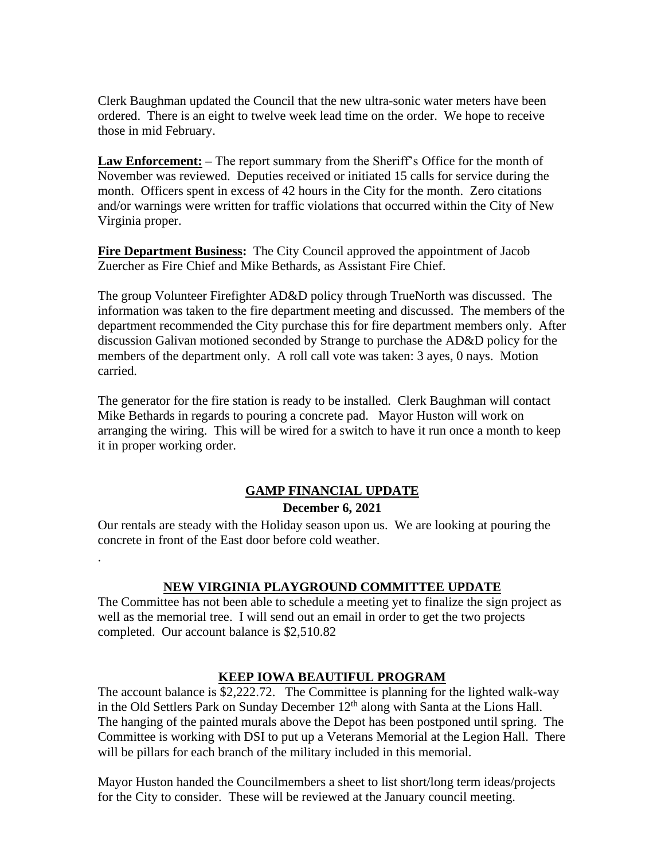Clerk Baughman updated the Council that the new ultra-sonic water meters have been ordered. There is an eight to twelve week lead time on the order. We hope to receive those in mid February.

**Law Enforcement: –** The report summary from the Sheriff's Office for the month of November was reviewed. Deputies received or initiated 15 calls for service during the month. Officers spent in excess of 42 hours in the City for the month. Zero citations and/or warnings were written for traffic violations that occurred within the City of New Virginia proper.

**Fire Department Business:** The City Council approved the appointment of Jacob Zuercher as Fire Chief and Mike Bethards, as Assistant Fire Chief.

The group Volunteer Firefighter AD&D policy through TrueNorth was discussed. The information was taken to the fire department meeting and discussed. The members of the department recommended the City purchase this for fire department members only. After discussion Galivan motioned seconded by Strange to purchase the AD&D policy for the members of the department only. A roll call vote was taken: 3 ayes, 0 nays. Motion carried.

The generator for the fire station is ready to be installed. Clerk Baughman will contact Mike Bethards in regards to pouring a concrete pad. Mayor Huston will work on arranging the wiring. This will be wired for a switch to have it run once a month to keep it in proper working order.

## **GAMP FINANCIAL UPDATE December 6, 2021**

Our rentals are steady with the Holiday season upon us. We are looking at pouring the concrete in front of the East door before cold weather.

.

## **NEW VIRGINIA PLAYGROUND COMMITTEE UPDATE**

The Committee has not been able to schedule a meeting yet to finalize the sign project as well as the memorial tree. I will send out an email in order to get the two projects completed. Our account balance is \$2,510.82

## **KEEP IOWA BEAUTIFUL PROGRAM**

The account balance is \$2,222.72. The Committee is planning for the lighted walk-way in the Old Settlers Park on Sunday December  $12<sup>th</sup>$  along with Santa at the Lions Hall. The hanging of the painted murals above the Depot has been postponed until spring. The Committee is working with DSI to put up a Veterans Memorial at the Legion Hall. There will be pillars for each branch of the military included in this memorial.

Mayor Huston handed the Councilmembers a sheet to list short/long term ideas/projects for the City to consider. These will be reviewed at the January council meeting.